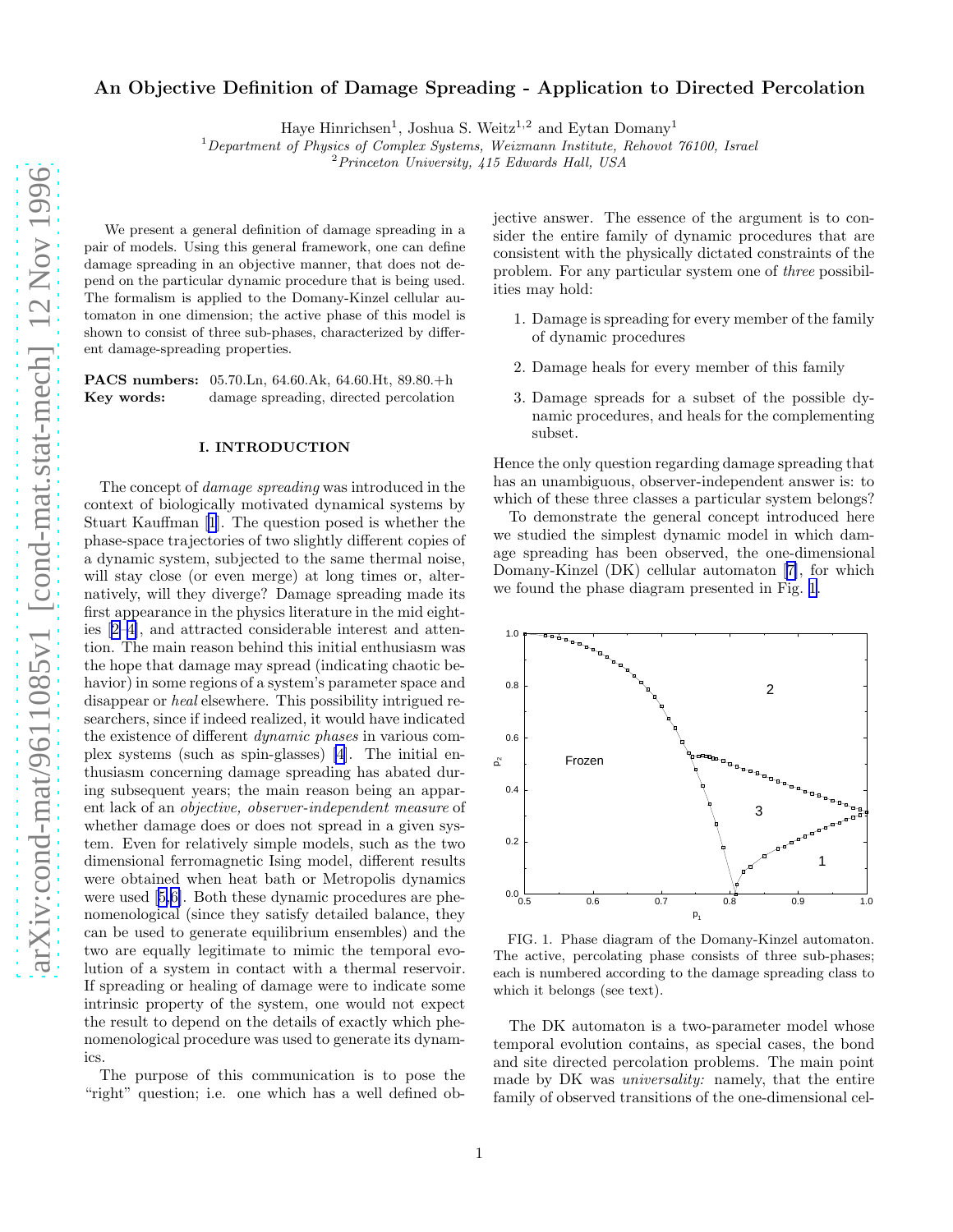# <span id="page-0-0"></span>An Objective Definition of Damage Spreading - Application to Directed Percolation

Haye Hinrichsen<sup>1</sup>, Joshua S. Weitz<sup>1,2</sup> and Eytan Domany<sup>1</sup>

<sup>1</sup>Department of Physics of Complex Systems, Weizmann Institute, Rehovot 76100, Israel

 $^{2}Princeton$  University, 415 Edwards Hall, USA

We present a general definition of damage spreading in a pair of models. Using this general framework, one can define damage spreading in an objective manner, that does not depend on the particular dynamic procedure that is being used. The formalism is applied to the Domany-Kinzel cellular automaton in one dimension; the active phase of this model is shown to consist of three sub-phases, characterized by different damage-spreading properties.

PACS numbers: 05.70.Ln, 64.60.Ak, 64.60.Ht, 89.80.+h Key words: damage spreading, directed percolation

#### I. INTRODUCTION

The concept of damage spreading was introduced in the context of biologically motivated dynamical systems by Stuart Kauffman [\[1](#page-10-0)]. The question posed is whether the phase-space trajectories of two slightly different copies of a dynamic system, subjected to the same thermal noise, will stay close (or even merge) at long times or, alternatively, will they diverge? Damage spreading made its first appearance in the physics literature in the mid eighties[[2–4\]](#page-10-0), and attracted considerable interest and attention. The main reason behind this initial enthusiasm was the hope that damage may spread (indicating chaotic behavior) in some regions of a system's parameter space and disappear or heal elsewhere. This possibility intrigued researchers, since if indeed realized, it would have indicated the existence of different dynamic phases in various complex systems (such as spin-glasses) [\[4](#page-10-0)]. The initial enthusiasm concerning damage spreading has abated during subsequent years; the main reason being an apparent lack of an objective, observer-independent measure of whether damage does or does not spread in a given system. Even for relatively simple models, such as the two dimensional ferromagnetic Ising model, different results were obtained when heat bath or Metropolis dynamics were used[[5,6\]](#page-10-0). Both these dynamic procedures are phenomenological (since they satisfy detailed balance, they can be used to generate equilibrium ensembles) and the two are equally legitimate to mimic the temporal evolution of a system in contact with a thermal reservoir. If spreading or healing of damage were to indicate some intrinsic property of the system, one would not expect the result to depend on the details of exactly which phenomenological procedure was used to generate its dynamics.

The purpose of this communication is to pose the "right" question; i.e. one which has a well defined objective answer. The essence of the argument is to consider the entire family of dynamic procedures that are consistent with the physically dictated constraints of the problem. For any particular system one of three possibilities may hold:

- 1. Damage is spreading for every member of the family of dynamic procedures
- 2. Damage heals for every member of this family
- 3. Damage spreads for a subset of the possible dynamic procedures, and heals for the complementing subset.

Hence the only question regarding damage spreading that has an unambiguous, observer-independent answer is: to which of these three classes a particular system belongs?

To demonstrate the general concept introduced here we studied the simplest dynamic model in which damage spreading has been observed, the one-dimensional Domany-Kinzel (DK) cellular automaton[[7\]](#page-10-0), for which we found the phase diagram presented in Fig. 1.



FIG. 1. Phase diagram of the Domany-Kinzel automaton. The active, percolating phase consists of three sub-phases; each is numbered according to the damage spreading class to which it belongs (see text).

The DK automaton is a two-parameter model whose temporal evolution contains, as special cases, the bond and site directed percolation problems. The main point made by DK was universality: namely, that the entire family of observed transitions of the one-dimensional cel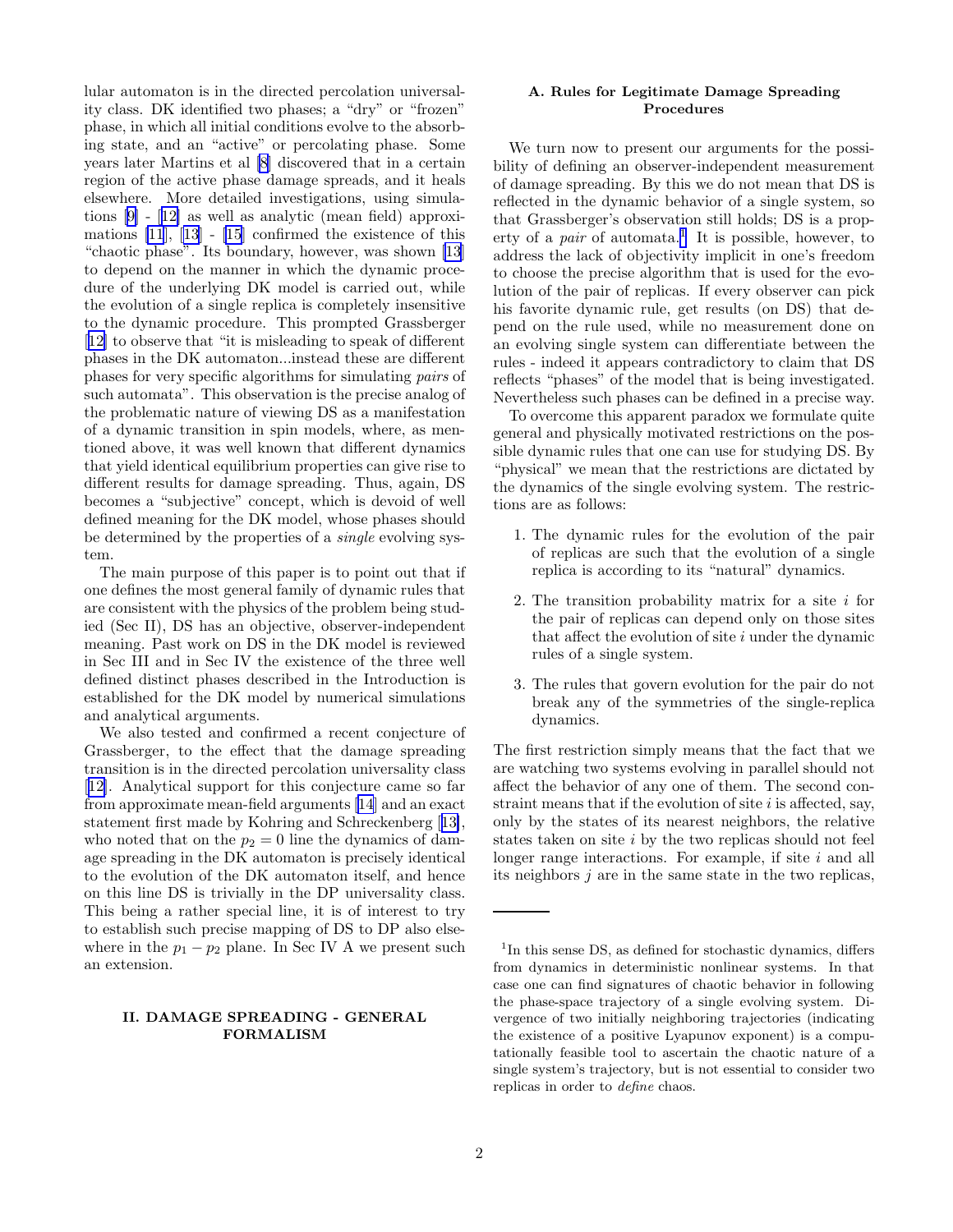lular automaton is in the directed percolation universality class. DK identified two phases; a "dry" or "frozen" phase, in which all initial conditions evolve to the absorbing state, and an "active" or percolating phase. Some years later Martins et al [\[8](#page-10-0)] discovered that in a certain region of the active phase damage spreads, and it heals elsewhere. More detailed investigations, using simulations[[9\]](#page-10-0) -[[12\]](#page-10-0) as well as analytic (mean field) approximations [\[11](#page-10-0)],[[13](#page-10-0)] - [\[15](#page-10-0)] confirmed the existence of this "chaotic phase". Its boundary, however, was shown [\[13](#page-10-0)] to depend on the manner in which the dynamic procedure of the underlying DK model is carried out, while the evolution of a single replica is completely insensitive to the dynamic procedure. This prompted Grassberger [[12\]](#page-10-0) to observe that "it is misleading to speak of different phases in the DK automaton...instead these are different phases for very specific algorithms for simulating pairs of such automata". This observation is the precise analog of the problematic nature of viewing DS as a manifestation of a dynamic transition in spin models, where, as mentioned above, it was well known that different dynamics that yield identical equilibrium properties can give rise to different results for damage spreading. Thus, again, DS becomes a "subjective" concept, which is devoid of well defined meaning for the DK model, whose phases should be determined by the properties of a single evolving system.

The main purpose of this paper is to point out that if one defines the most general family of dynamic rules that are consistent with the physics of the problem being studied (Sec II), DS has an objective, observer-independent meaning. Past work on DS in the DK model is reviewed in Sec III and in Sec IV the existence of the three well defined distinct phases described in the Introduction is established for the DK model by numerical simulations and analytical arguments.

We also tested and confirmed a recent conjecture of Grassberger, to the effect that the damage spreading transition is in the directed percolation universality class [[12\]](#page-10-0). Analytical support for this conjecture came so far from approximate mean-field arguments [\[14](#page-10-0)] and an exact statement first made by Kohring and Schreckenberg[[13\]](#page-10-0), who noted that on the  $p_2 = 0$  line the dynamics of damage spreading in the DK automaton is precisely identical to the evolution of the DK automaton itself, and hence on this line DS is trivially in the DP universality class. This being a rather special line, it is of interest to try to establish such precise mapping of DS to DP also elsewhere in the  $p_1 - p_2$  plane. In Sec IV A we present such an extension.

# II. DAMAGE SPREADING - GENERAL FORMALISM

### A. Rules for Legitimate Damage Spreading Procedures

We turn now to present our arguments for the possibility of defining an observer-independent measurement of damage spreading. By this we do not mean that DS is reflected in the dynamic behavior of a single system, so that Grassberger's observation still holds; DS is a property of a *pair* of automata.<sup>1</sup> It is possible, however, to address the lack of objectivity implicit in one's freedom to choose the precise algorithm that is used for the evolution of the pair of replicas. If every observer can pick his favorite dynamic rule, get results (on DS) that depend on the rule used, while no measurement done on an evolving single system can differentiate between the rules - indeed it appears contradictory to claim that DS reflects "phases" of the model that is being investigated. Nevertheless such phases can be defined in a precise way.

To overcome this apparent paradox we formulate quite general and physically motivated restrictions on the possible dynamic rules that one can use for studying DS. By "physical" we mean that the restrictions are dictated by the dynamics of the single evolving system. The restrictions are as follows:

- 1. The dynamic rules for the evolution of the pair of replicas are such that the evolution of a single replica is according to its "natural" dynamics.
- 2. The transition probability matrix for a site  $i$  for the pair of replicas can depend only on those sites that affect the evolution of site  $i$  under the dynamic rules of a single system.
- 3. The rules that govern evolution for the pair do not break any of the symmetries of the single-replica dynamics.

The first restriction simply means that the fact that we are watching two systems evolving in parallel should not affect the behavior of any one of them. The second constraint means that if the evolution of site  $i$  is affected, say, only by the states of its nearest neighbors, the relative states taken on site i by the two replicas should not feel longer range interactions. For example, if site  $i$  and all its neighbors  $j$  are in the same state in the two replicas,

<sup>&</sup>lt;sup>1</sup>In this sense DS, as defined for stochastic dynamics, differs from dynamics in deterministic nonlinear systems. In that case one can find signatures of chaotic behavior in following the phase-space trajectory of a single evolving system. Divergence of two initially neighboring trajectories (indicating the existence of a positive Lyapunov exponent) is a computationally feasible tool to ascertain the chaotic nature of a single system's trajectory, but is not essential to consider two replicas in order to define chaos.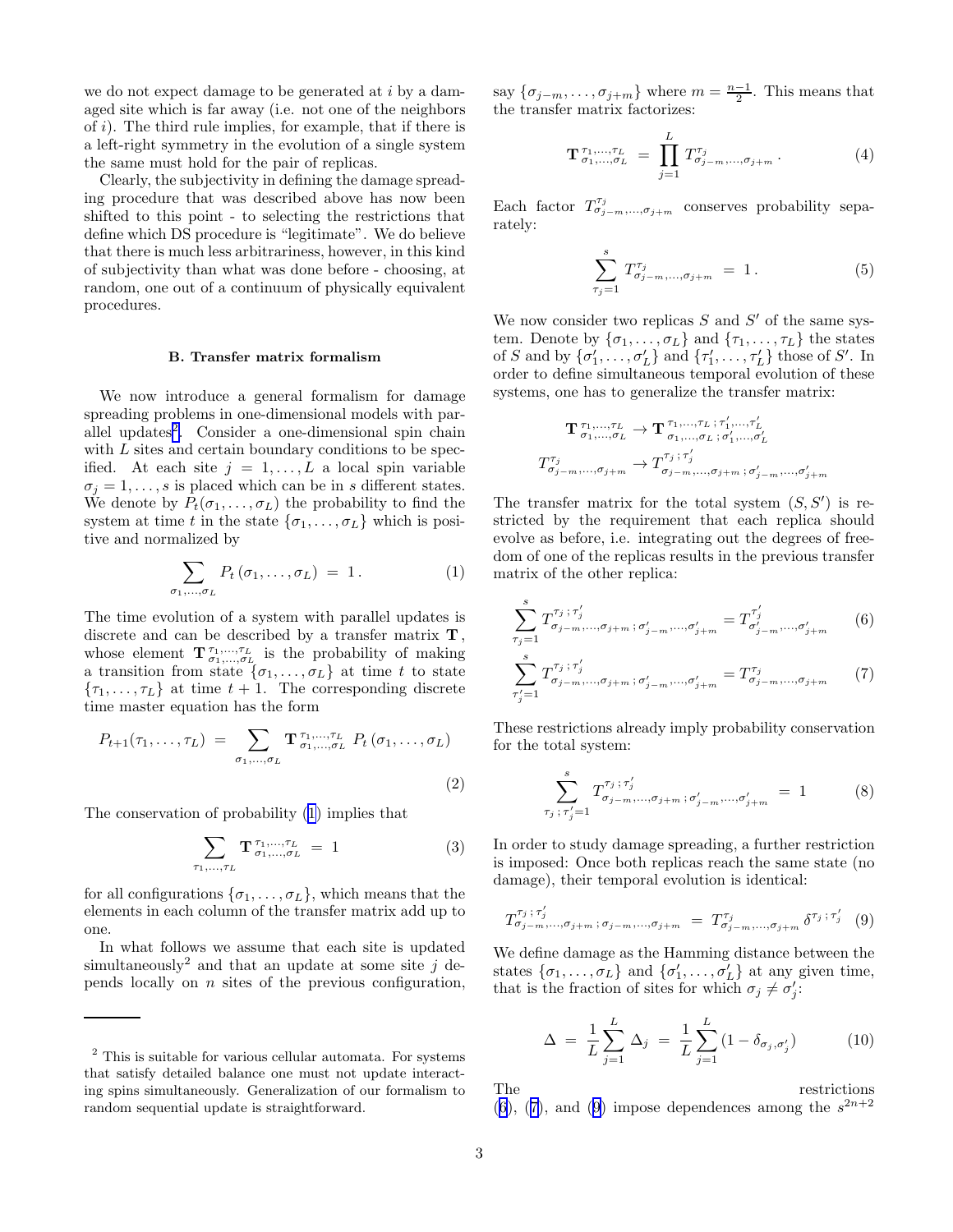<span id="page-2-0"></span>we do not expect damage to be generated at  $i$  by a damaged site which is far away (i.e. not one of the neighbors of  $i$ ). The third rule implies, for example, that if there is a left-right symmetry in the evolution of a single system the same must hold for the pair of replicas.

Clearly, the subjectivity in defining the damage spreading procedure that was described above has now been shifted to this point - to selecting the restrictions that define which DS procedure is "legitimate". We do believe that there is much less arbitrariness, however, in this kind of subjectivity than what was done before - choosing, at random, one out of a continuum of physically equivalent procedures.

### B. Transfer matrix formalism

We now introduce a general formalism for damage spreading problems in one-dimensional models with parallel updates<sup>2</sup>. Consider a one-dimensional spin chain with L sites and certain boundary conditions to be specified. At each site  $j = 1, \ldots, L$  a local spin variable  $\sigma_i = 1, \ldots, s$  is placed which can be in s different states. We denote by  $P_t(\sigma_1,\ldots,\sigma_L)$  the probability to find the system at time t in the state  $\{\sigma_1, \ldots, \sigma_L\}$  which is positive and normalized by

$$
\sum_{\sigma_1,\ldots,\sigma_L} P_t(\sigma_1,\ldots,\sigma_L) = 1.
$$
 (1)

The time evolution of a system with parallel updates is discrete and can be described by a transfer matrix  $\mathbf{T}$ , whose element  $\mathbf{T}_{\sigma_1,\dots,\sigma_{L}}^{\tau_1,\dots,\tau_L}$  is the probability of making a transition from state  $\{\sigma_1, \ldots, \sigma_L\}$  at time t to state  $\{\tau_1, \ldots, \tau_L\}$  at time  $t + 1$ . The corresponding discrete time master equation has the form

$$
P_{t+1}(\tau_1,\ldots,\tau_L) = \sum_{\sigma_1,\ldots,\sigma_L} \mathbf{T}_{\sigma_1,\ldots,\sigma_L}^{\tau_1,\ldots,\tau_L} P_t(\sigma_1,\ldots,\sigma_L)
$$
\n(2)

The conservation of probability (1) implies that

$$
\sum_{\tau_1,\dots,\tau_L} \mathbf{T}^{\tau_1,\dots,\tau_L}_{\sigma_1,\dots,\sigma_L} = 1 \tag{3}
$$

for all configurations  $\{\sigma_1, \ldots, \sigma_L\}$ , which means that the elements in each column of the transfer matrix add up to one.

In what follows we assume that each site is updated simultaneously<sup>2</sup> and that an update at some site j depends locally on  $n$  sites of the previous configuration,

say  $\{\sigma_{j-m}, \ldots, \sigma_{j+m}\}\$  where  $m = \frac{n-1}{2}$ . This means that the transfer matrix factorizes:

$$
\mathbf{T}^{\tau_1,\ldots,\tau_L}_{\sigma_1,\ldots,\sigma_L} = \prod_{j=1}^L T^{\tau_j}_{\sigma_{j-m},\ldots,\sigma_{j+m}}.
$$
 (4)

Each factor  $T^{\tau_j}_{\sigma_{j-m},...,\sigma_{j+m}}$  conserves probability separately:

$$
\sum_{\tau_j=1}^s T^{\tau_j}_{\sigma_{j-m},...,\sigma_{j+m}} = 1.
$$
 (5)

We now consider two replicas  $S$  and  $S'$  of the same system. Denote by  $\{\sigma_1, \ldots, \sigma_L\}$  and  $\{\tau_1, \ldots, \tau_L\}$  the states of S and by  $\{\sigma'_1, \ldots, \sigma'_L\}$  and  $\{\tau'_1, \ldots, \tau'_L\}$  those of S'. In order to define simultaneous temporal evolution of these systems, one has to generalize the transfer matrix:

$$
\mathbf{T}^{\tau_1,...,\tau_L}_{\sigma_1,...,\sigma_L} \rightarrow \mathbf{T}^{\tau_1,...,\tau_L}_{\sigma_1,...,\sigma_L;\sigma'_1,...,\sigma'_L} \\ T^{\tau_j}_{\sigma_j-m,...,\sigma_{j+m}} \rightarrow T^{\tau_j;\tau'_j}_{\sigma_{j-m},...,\sigma_{j+m};\sigma'_{j-m},..., \sigma'_{j+m}}
$$

The transfer matrix for the total system  $(S, S')$  is restricted by the requirement that each replica should evolve as before, i.e. integrating out the degrees of freedom of one of the replicas results in the previous transfer matrix of the other replica:

$$
\sum_{\tau_j=1}^{s} T^{\tau_j; \tau'_j}_{\sigma_{j-m}, \dots, \sigma_{j+m}}; \sigma'_{j-m}, \dots, \sigma'_{j+m} = T^{\tau'_j}_{\sigma'_{j-m}, \dots, \sigma'_{j+m}}
$$
(6)

$$
\sum_{\tau'_j=1}^s T^{\tau_j; \tau'_j}_{\sigma_{j-m},...,\sigma_{j+m; \sigma'_{j-m},..., \sigma'_{j+m}} = T^{\tau_j}_{\sigma_{j-m},..., \sigma_{j+m}}
$$
 (7)

These restrictions already imply probability conservation for the total system:

$$
\sum_{\tau_j \; ; \; \tau'_j = 1}^s T^{\tau_j \; ; \; \tau'_j}_{\sigma_{j-m},...,\sigma_{j+m} \; ; \; \sigma'_{j-m},..., \sigma'_{j+m}} = 1 \tag{8}
$$

In order to study damage spreading, a further restriction is imposed: Once both replicas reach the same state (no damage), their temporal evolution is identical:

$$
T^{\tau_j; \tau'_j}_{\sigma_{j-m},...,\sigma_{j+m}}; \sigma_{j-m},...,\sigma_{j+m} = T^{\tau_j}_{\sigma_{j-m},..., \sigma_{j+m}} \delta^{\tau_j; \tau'_j} (9)
$$

We define damage as the Hamming distance between the states  $\{\sigma_1, \ldots, \sigma_L\}$  and  $\{\sigma'_1, \ldots, \sigma'_L\}$  at any given time, that is the fraction of sites for which  $\sigma_j \neq \sigma'_j$ :

$$
\Delta = \frac{1}{L} \sum_{j=1}^{L} \Delta_j = \frac{1}{L} \sum_{j=1}^{L} (1 - \delta_{\sigma_j, \sigma'_j})
$$
(10)

The restrictions

(6), (7), and (9) impose dependences among the  $s^{2n+2}$ 

<sup>2</sup> This is suitable for various cellular automata. For systems that satisfy detailed balance one must not update interacting spins simultaneously. Generalization of our formalism to random sequential update is straightforward.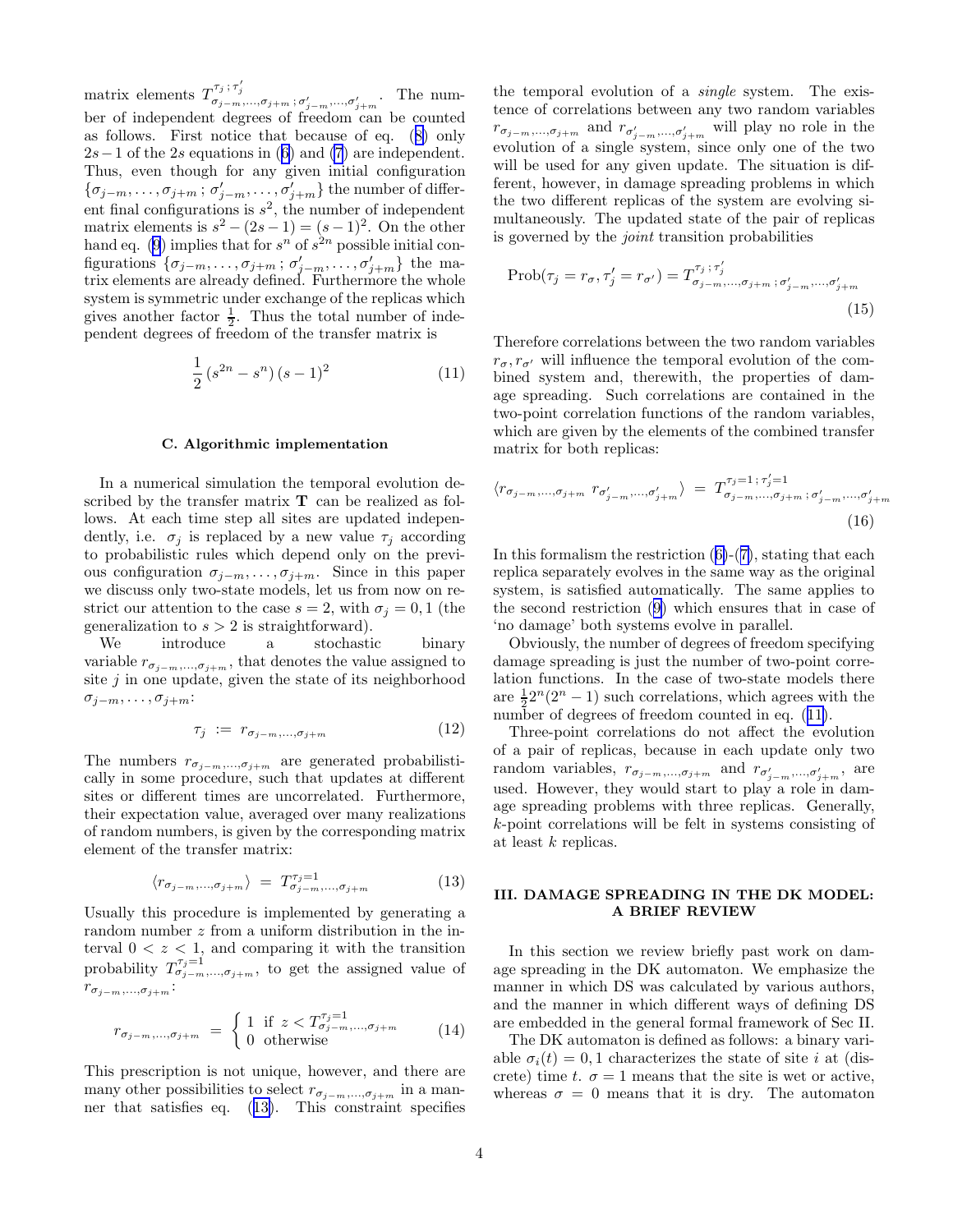matrix elements  $T^{\tau_j; \tau'_j}_{\sigma_{j-m},...,\sigma_{j+m}; \sigma'_{j-m},..., \sigma'_{j+m}}$ . The number of independent degrees of freedom can be counted as follows. First notice that because of eq.([8\)](#page-2-0) only  $2s-1$ of the 2s equations in ([6\)](#page-2-0) and [\(7](#page-2-0)) are independent. Thus, even though for any given initial configuration  $\{\sigma_{j-m},\ldots,\sigma_{j+m}\,;\,\sigma'_{j-m},\ldots,\sigma'_{j+m}\}\)$  the number of different final configurations is  $s^2$ , the number of independent matrix elements is  $s^2 - (2s - 1) = (s - 1)^2$ . On the other hand eq. [\(9](#page-2-0)) implies that for  $s^n$  of  $s^{2n}$  possible initial configurations  $\{\sigma_{j-m}, \ldots, \sigma_{j+m}$ ;  $\sigma'_{j-m}, \ldots, \sigma'_{j+m}\}\)$  the matrix elements are already defined. Furthermore the whole system is symmetric under exchange of the replicas which gives another factor  $\frac{1}{2}$ . Thus the total number of independent degrees of freedom of the transfer matrix is

$$
\frac{1}{2}(s^{2n} - s^n)(s - 1)^2
$$
\n(11)

# C. Algorithmic implementation

In a numerical simulation the temporal evolution described by the transfer matrix **T** can be realized as follows. At each time step all sites are updated independently, i.e.  $\sigma_j$  is replaced by a new value  $\tau_j$  according to probabilistic rules which depend only on the previous configuration  $\sigma_{j-m}, \ldots, \sigma_{j+m}$ . Since in this paper we discuss only two-state models, let us from now on restrict our attention to the case  $s = 2$ , with  $\sigma_i = 0, 1$  (the generalization to  $s > 2$  is straightforward).

We introduce a stochastic binary variable  $r_{\sigma_{j-m},...,\sigma_{j+m}}$ , that denotes the value assigned to site  $j$  in one update, given the state of its neighborhood  $\sigma_{j-m}, \ldots, \sigma_{j+m}$ :

$$
\tau_j := r_{\sigma_{j-m}, \dots, \sigma_{j+m}} \tag{12}
$$

The numbers  $r_{\sigma_{j-m},...,\sigma_{j+m}}$  are generated probabilistically in some procedure, such that updates at different sites or different times are uncorrelated. Furthermore, their expectation value, averaged over many realizations of random numbers, is given by the corresponding matrix element of the transfer matrix:

$$
\langle r_{\sigma_{j-m},\dots,\sigma_{j+m}} \rangle = T^{\tau_j=1}_{\sigma_{j-m},\dots,\sigma_{j+m}} \tag{13}
$$

Usually this procedure is implemented by generating a random number z from a uniform distribution in the interval  $0 < z < 1$ , and comparing it with the transition probability  $T_{\sigma_{j-m},..., \sigma_{j+m}}^{\tau_j=1}$ , to get the assigned value of  $r_{\sigma_{i-m},...,\sigma_{i+m}}$ :

$$
r_{\sigma_{j-m},\dots,\sigma_{j+m}} = \begin{cases} 1 & \text{if } z < T_{\sigma_{j-m},\dots,\sigma_{j+m}}^{\tau_j=1} \\ 0 & \text{otherwise} \end{cases} \tag{14}
$$

This prescription is not unique, however, and there are many other possibilities to select  $r_{\sigma_{j-m},...,\sigma_{j+m}}$  in a manner that satisfies eq. (13). This constraint specifies

the temporal evolution of a single system. The existence of correlations between any two random variables  $r_{\sigma_{j-m},...,\sigma_{j+m}}$  and  $r_{\sigma'_{j-m},...,\sigma'_{j+m}}$  will play no role in the evolution of a single system, since only one of the two will be used for any given update. The situation is different, however, in damage spreading problems in which the two different replicas of the system are evolving simultaneously. The updated state of the pair of replicas is governed by the joint transition probabilities

$$
\text{Prob}(\tau_j = r_{\sigma}, \tau'_j = r_{\sigma'}) = T^{\tau_j; \tau'_j}_{\sigma_{j-m}, \dots, \sigma_{j+m}}; \sigma'_{j-m}, \dots, \sigma'_{j+m}
$$
\n(15)

Therefore correlations between the two random variables  $r_{\sigma}, r_{\sigma'}$  will influence the temporal evolution of the combined system and, therewith, the properties of damage spreading. Such correlations are contained in the two-point correlation functions of the random variables, which are given by the elements of the combined transfer matrix for both replicas:

$$
\langle r_{\sigma_{j-m},...,\sigma_{j+m}} \ r_{\sigma'_{j-m},..., \sigma'_{j+m}} \rangle = T^{\tau_j=1 \; ; \; \tau'_j=1}_{\sigma_{j-m},...,\sigma_{j+m} \; ; \; \sigma'_{j-m},..., \sigma'_{j+m}}
$$
\n(16)

Inthis formalism the restriction  $(6)-(7)$  $(6)-(7)$  $(6)-(7)$  $(6)-(7)$ , stating that each replica separately evolves in the same way as the original system, is satisfied automatically. The same applies to the second restriction([9\)](#page-2-0) which ensures that in case of 'no damage' both systems evolve in parallel.

Obviously, the number of degrees of freedom specifying damage spreading is just the number of two-point correlation functions. In the case of two-state models there are  $\frac{1}{2}2^{n}(2^{n}-1)$  such correlations, which agrees with the number of degrees of freedom counted in eq.  $(11)$ .

Three-point correlations do not affect the evolution of a pair of replicas, because in each update only two random variables,  $r_{\sigma_{j-m},...,\sigma_{j+m}}$  and  $r_{\sigma'_{j-m},...,\sigma'_{j+m}}$ , are used. However, they would start to play a role in damage spreading problems with three replicas. Generally, k-point correlations will be felt in systems consisting of at least k replicas.

### III. DAMAGE SPREADING IN THE DK MODEL: A BRIEF REVIEW

In this section we review briefly past work on damage spreading in the DK automaton. We emphasize the manner in which DS was calculated by various authors, and the manner in which different ways of defining DS are embedded in the general formal framework of Sec II.

The DK automaton is defined as follows: a binary variable  $\sigma_i(t) = 0, 1$  characterizes the state of site i at (discrete) time t.  $\sigma = 1$  means that the site is wet or active, whereas  $\sigma = 0$  means that it is dry. The automaton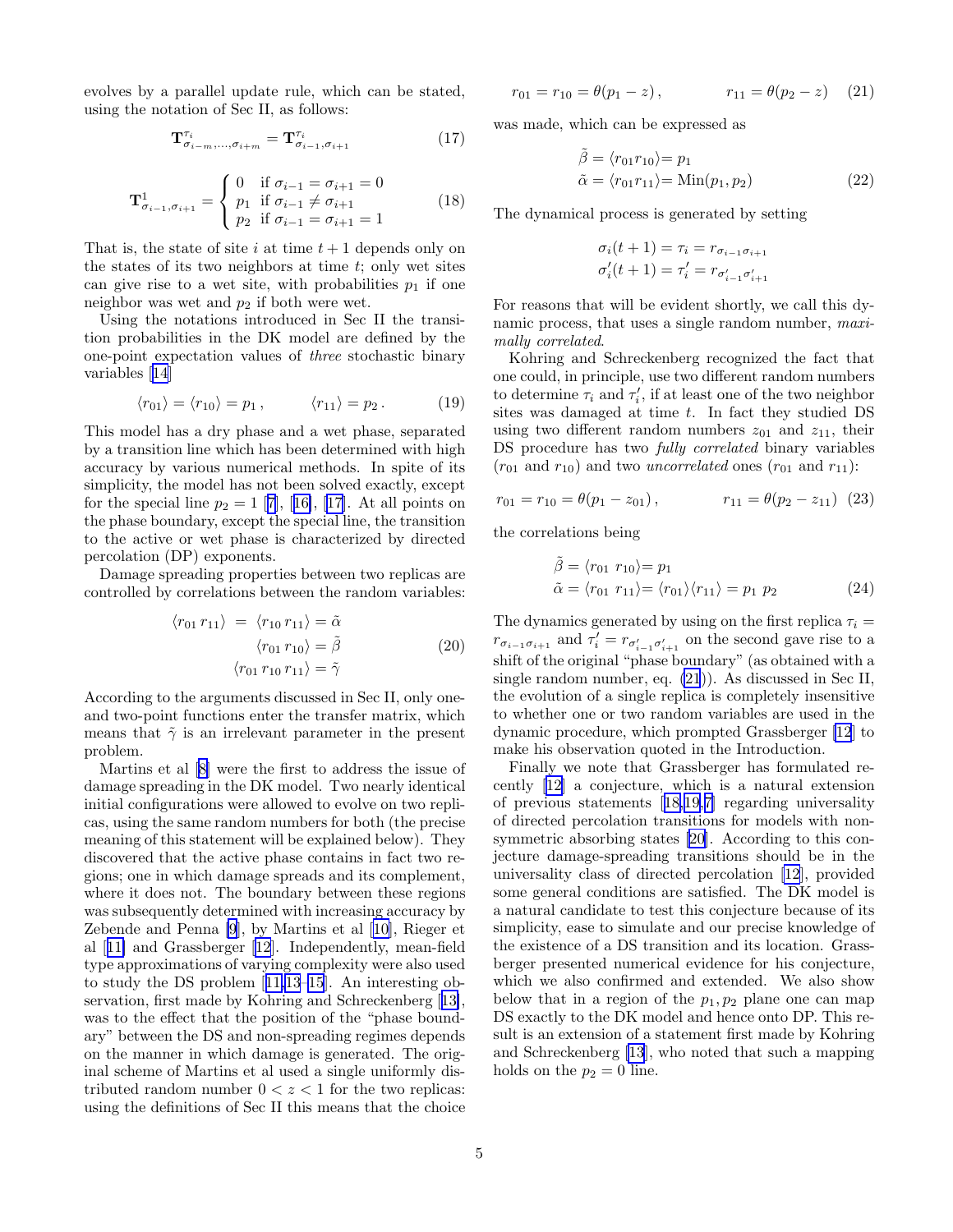<span id="page-4-0"></span>evolves by a parallel update rule, which can be stated, using the notation of Sec II, as follows:

$$
\mathbf{T}^{\tau_i}_{\sigma_{i-m},\dots,\sigma_{i+m}} = \mathbf{T}^{\tau_i}_{\sigma_{i-1},\sigma_{i+1}} \tag{17}
$$

$$
\mathbf{T}^{1}_{\sigma_{i-1}, \sigma_{i+1}} = \begin{cases} 0 & \text{if } \sigma_{i-1} = \sigma_{i+1} = 0 \\ p_1 & \text{if } \sigma_{i-1} \neq \sigma_{i+1} \\ p_2 & \text{if } \sigma_{i-1} = \sigma_{i+1} = 1 \end{cases}
$$
(18)

That is, the state of site i at time  $t + 1$  depends only on the states of its two neighbors at time  $t$ ; only wet sites can give rise to a wet site, with probabilities  $p_1$  if one neighbor was wet and  $p_2$  if both were wet.

Using the notations introduced in Sec II the transition probabilities in the DK model are defined by the one-point expectation values of three stochastic binary variables [\[14](#page-10-0)]

$$
\langle r_{01} \rangle = \langle r_{10} \rangle = p_1, \qquad \langle r_{11} \rangle = p_2. \qquad (19)
$$

This model has a dry phase and a wet phase, separated by a transition line which has been determined with high accuracy by various numerical methods. In spite of its simplicity, the model has not been solved exactly, except forthe special line  $p_2 = 1$  [[7\]](#page-10-0), [[16\]](#page-10-0), [\[17](#page-10-0)]. At all points on the phase boundary, except the special line, the transition to the active or wet phase is characterized by directed percolation (DP) exponents.

Damage spreading properties between two replicas are controlled by correlations between the random variables:

$$
\langle r_{01} r_{11} \rangle = \langle r_{10} r_{11} \rangle = \tilde{\alpha}
$$

$$
\langle r_{01} r_{10} \rangle = \tilde{\beta}
$$

$$
\langle r_{01} r_{10} r_{11} \rangle = \tilde{\gamma}
$$
(20)

According to the arguments discussed in Sec II, only oneand two-point functions enter the transfer matrix, which means that  $\tilde{\gamma}$  is an irrelevant parameter in the present problem.

Martins et al[[8\]](#page-10-0) were the first to address the issue of damage spreading in the DK model. Two nearly identical initial configurations were allowed to evolve on two replicas, using the same random numbers for both (the precise meaning of this statement will be explained below). They discovered that the active phase contains in fact two regions; one in which damage spreads and its complement, where it does not. The boundary between these regions was subsequently determined with increasing accuracy by Zebende and Penna [\[9](#page-10-0)], by Martins et al[[10\]](#page-10-0), Rieger et al[[11\]](#page-10-0) and Grassberger [\[12](#page-10-0)]. Independently, mean-field type approximations of varying complexity were also used to study the DS problem[[11,13–15](#page-10-0)]. An interesting observation, first made by Kohring and Schreckenberg[[13\]](#page-10-0), was to the effect that the position of the "phase boundary" between the DS and non-spreading regimes depends on the manner in which damage is generated. The original scheme of Martins et al used a single uniformly distributed random number  $0 < z < 1$  for the two replicas: using the definitions of Sec II this means that the choice

$$
r_{01} = r_{10} = \theta(p_1 - z), \qquad r_{11} = \theta(p_2 - z) \quad (21)
$$

was made, which can be expressed as

$$
\tilde{\beta} = \langle r_{01} r_{10} \rangle = p_1
$$
  
\n
$$
\tilde{\alpha} = \langle r_{01} r_{11} \rangle = \text{Min}(p_1, p_2)
$$
\n(22)

The dynamical process is generated by setting

$$
\sigma_i(t+1) = \tau_i = r_{\sigma_{i-1}\sigma_{i+1}}
$$

$$
\sigma'_i(t+1) = \tau'_i = r_{\sigma'_{i-1}\sigma'_{i+1}}
$$

For reasons that will be evident shortly, we call this dynamic process, that uses a single random number, maximally correlated.

Kohring and Schreckenberg recognized the fact that one could, in principle, use two different random numbers to determine  $\tau_i$  and  $\tau'_i$ , if at least one of the two neighbor sites was damaged at time  $t$ . In fact they studied DS using two different random numbers  $z_{01}$  and  $z_{11}$ , their DS procedure has two fully correlated binary variables  $(r_{01}$  and  $r_{10})$  and two *uncorrelated* ones  $(r_{01}$  and  $r_{11})$ :

$$
r_{01} = r_{10} = \theta(p_1 - z_{01}), \qquad \qquad r_{11} = \theta(p_2 - z_{11}) \tag{23}
$$

the correlations being

$$
\tilde{\beta} = \langle r_{01} r_{10} \rangle = p_1
$$
  
\n
$$
\tilde{\alpha} = \langle r_{01} r_{11} \rangle = \langle r_{01} \rangle \langle r_{11} \rangle = p_1 p_2
$$
\n(24)

The dynamics generated by using on the first replica  $\tau_i =$  $r_{\sigma_{i-1}\sigma_{i+1}}$  and  $\tau'_{i} = r_{\sigma'_{i-1}\sigma'_{i+1}}$  on the second gave rise to a shift of the original "phase boundary" (as obtained with a single random number, eq. (21)). As discussed in Sec II, the evolution of a single replica is completely insensitive to whether one or two random variables are used in the dynamic procedure, which prompted Grassberger [\[12](#page-10-0)] to make his observation quoted in the Introduction.

Finally we note that Grassberger has formulated recently[[12](#page-10-0)] a conjecture, which is a natural extension of previous statements[[18,19,7\]](#page-10-0) regarding universality of directed percolation transitions for models with nonsymmetric absorbing states [\[20](#page-10-0)]. According to this conjecture damage-spreading transitions should be in the universality class of directed percolation [\[12](#page-10-0)], provided some general conditions are satisfied. The DK model is a natural candidate to test this conjecture because of its simplicity, ease to simulate and our precise knowledge of the existence of a DS transition and its location. Grassberger presented numerical evidence for his conjecture, which we also confirmed and extended. We also show below that in a region of the  $p_1, p_2$  plane one can map DS exactly to the DK model and hence onto DP. This result is an extension of a statement first made by Kohring and Schreckenberg [\[13](#page-10-0)], who noted that such a mapping holds on the  $p_2 = 0$  line.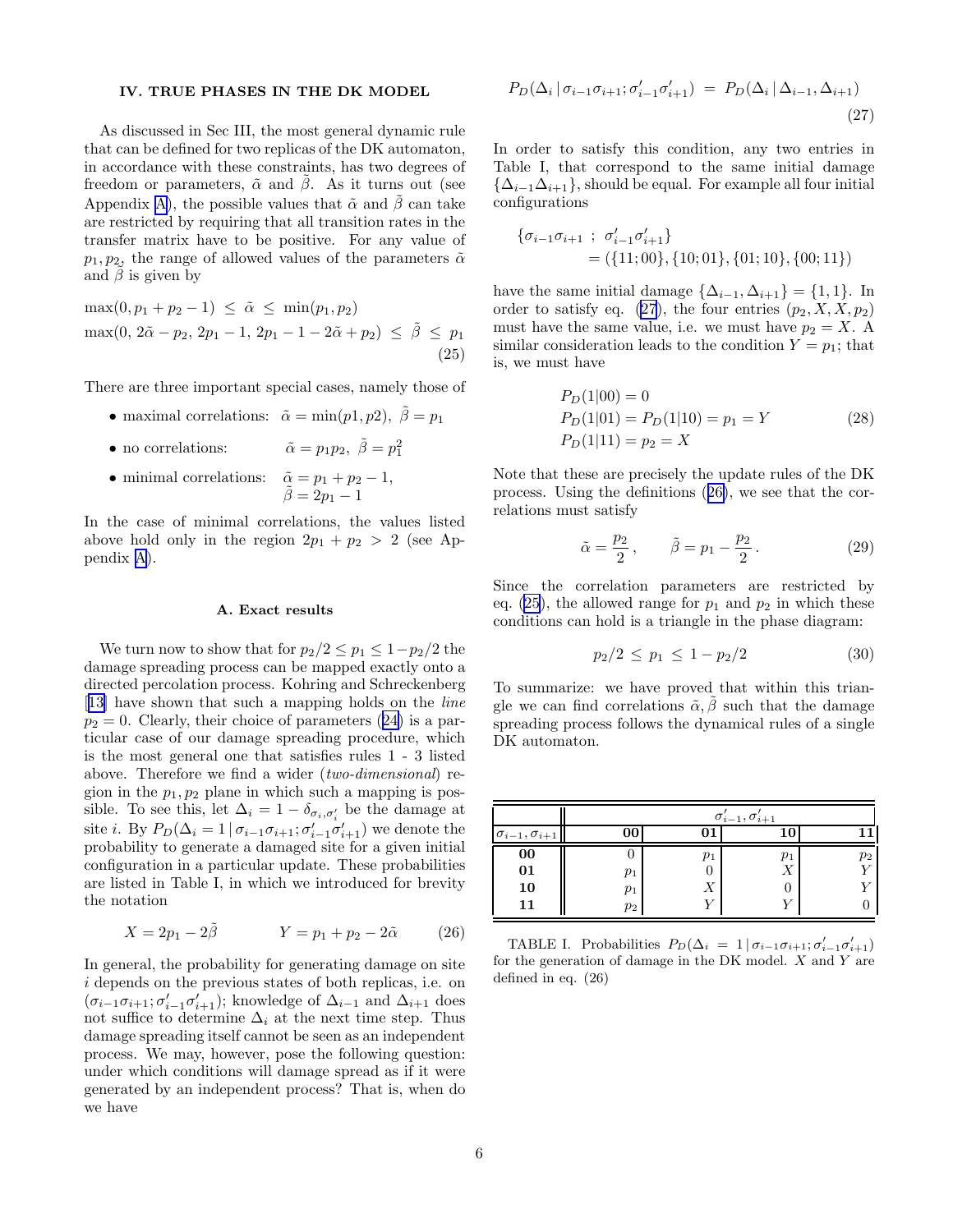### <span id="page-5-0"></span>IV. TRUE PHASES IN THE DK MODEL

As discussed in Sec III, the most general dynamic rule that can be defined for two replicas of the DK automaton, in accordance with these constraints, has two degrees of freedom or parameters,  $\tilde{\alpha}$  and  $\beta$ . As it turns out (see Appendix [A](#page-8-0)), the possible values that  $\tilde{\alpha}$  and  $\tilde{\beta}$  can take are restricted by requiring that all transition rates in the transfer matrix have to be positive. For any value of  $p_1, p_2$ , the range of allowed values of the parameters  $\tilde{\alpha}$ and  $\beta$  is given by

 $\max(0, p_1 + p_2 - 1) \leq \tilde{\alpha} \leq \min(p_1, p_2)$  $\max(0, 2\tilde{\alpha} - p_2, 2p_1 - 1, 2p_1 - 1 - 2\tilde{\alpha} + p_2) \leq \tilde{\beta} \leq p_1$ (25)

There are three important special cases, namely those of

- maximal correlations:  $\tilde{\alpha} = \min(p_1, p_2), \ \tilde{\beta} = p_1$
- no correlations:  $\tilde{\alpha} = p_1 p_2, \ \tilde{\beta} = p_1^2$
- minimal correlations:  $\tilde{\alpha} = p_1 + p_2 1$ ,  $\tilde{\beta} = 2p_1 - 1$

In the case of minimal correlations, the values listed above hold only in the region  $2p_1 + p_2 > 2$  (see Appendix [A](#page-8-0)).

#### A. Exact results

We turn now to show that for  $p_2/2 \leq p_1 \leq 1-p_2/2$  the damage spreading process can be mapped exactly onto a directed percolation process. Kohring and Schreckenberg [[13\]](#page-10-0) have shown that such a mapping holds on the line  $p_2 = 0$  $p_2 = 0$  $p_2 = 0$ . Clearly, their choice of parameters ([24\)](#page-4-0) is a particular case of our damage spreading procedure, which is the most general one that satisfies rules 1 - 3 listed above. Therefore we find a wider (two-dimensional) region in the  $p_1, p_2$  plane in which such a mapping is possible. To see this, let  $\Delta_i = 1 - \delta_{\sigma_i, \sigma'_i}$  be the damage at site *i*. By  $P_D(\Delta_i = 1 | \sigma_{i-1}\sigma_{i+1}; \sigma'_{i-1}\sigma'_{i+1})$  we denote the probability to generate a damaged site for a given initial configuration in a particular update. These probabilities are listed in Table I, in which we introduced for brevity the notation

$$
X = 2p_1 - 2\tilde{\beta} \qquad \qquad Y = p_1 + p_2 - 2\tilde{\alpha} \qquad (26)
$$

In general, the probability for generating damage on site  $i$  depends on the previous states of both replicas, i.e. on  $(\sigma_{i-1}\sigma_{i+1};\sigma'_{i-1}\sigma'_{i+1});$  knowledge of  $\Delta_{i-1}$  and  $\Delta_{i+1}$  does not suffice to determine  $\Delta_i$  at the next time step. Thus damage spreading itself cannot be seen as an independent process. We may, however, pose the following question: under which conditions will damage spread as if it were generated by an independent process? That is, when do we have

$$
P_D(\Delta_i | \sigma_{i-1} \sigma_{i+1}; \sigma'_{i-1} \sigma'_{i+1}) = P_D(\Delta_i | \Delta_{i-1}, \Delta_{i+1})
$$
\n(27)

In order to satisfy this condition, any two entries in Table I, that correspond to the same initial damage  ${\{\Delta_{i-1}\Delta_{i+1}\}}$ , should be equal. For example all four initial configurations

$$
\{\sigma_{i-1}\sigma_{i+1} \; ; \; \sigma'_{i-1}\sigma'_{i+1}\}\
$$
  
= (\{11;00\}, \{10;01\}, \{01;10\}, \{00;11\})

have the same initial damage  $\{\Delta_{i-1}, \Delta_{i+1}\} = \{1, 1\}$ . In order to satisfy eq. (27), the four entries  $(p_2, X, X, p_2)$ must have the same value, i.e. we must have  $p_2 = X$ . A similar consideration leads to the condition  $Y = p_1$ ; that is, we must have

$$
P_D(1|00) = 0
$$
  
\n
$$
P_D(1|01) = P_D(1|10) = p_1 = Y
$$
  
\n
$$
P_D(1|11) = p_2 = X
$$
\n(28)

Note that these are precisely the update rules of the DK process. Using the definitions (26), we see that the correlations must satisfy

$$
\tilde{\alpha} = \frac{p_2}{2}, \qquad \tilde{\beta} = p_1 - \frac{p_2}{2}.
$$
\n(29)

Since the correlation parameters are restricted by eq. (25), the allowed range for  $p_1$  and  $p_2$  in which these conditions can hold is a triangle in the phase diagram:

$$
p_2/2 \le p_1 \le 1 - p_2/2 \tag{30}
$$

To summarize: we have proved that within this triangle we can find correlations  $\tilde{\alpha}, \tilde{\beta}$  such that the damage spreading process follows the dynamical rules of a single DK automaton.

|                             | $\sigma'_{i-1}, \sigma'_{i+1}$ |       |       |       |
|-----------------------------|--------------------------------|-------|-------|-------|
| $\sigma_{i-1},\sigma_{i+1}$ | 00                             | 01    |       |       |
| $\bf{00}$                   |                                | $p_1$ | $p_1$ | $p_2$ |
| 01                          | $p_1$                          |       |       |       |
| 10                          | $p_1$                          |       |       |       |
| 11                          | $p_2$                          |       |       |       |

TABLE I. Probabilities  $P_D(\Delta_i = 1 | \sigma_{i-1} \sigma_{i+1}; \sigma'_{i-1} \sigma'_{i+1})$ for the generation of damage in the DK model. X and Y are defined in eq. (26)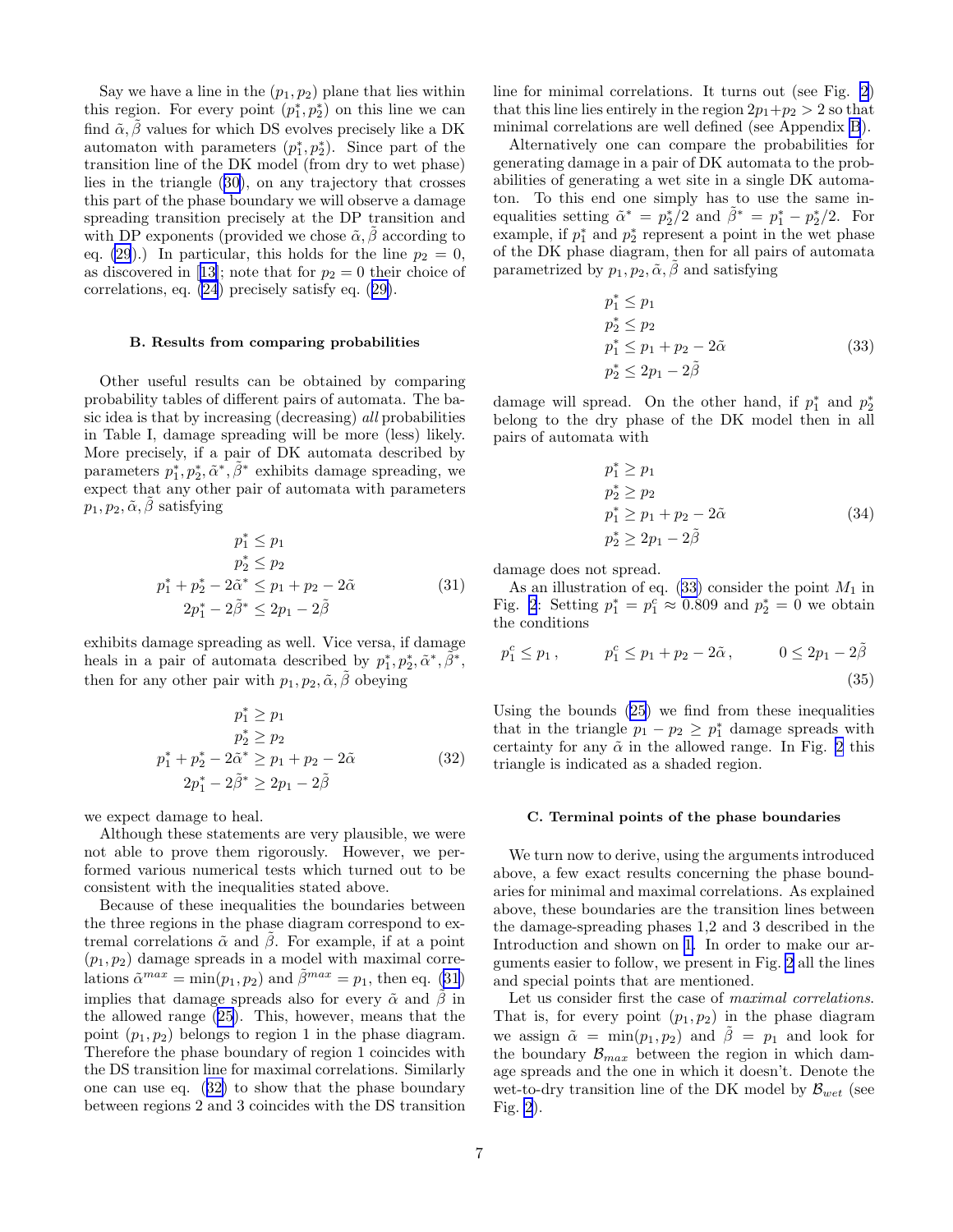<span id="page-6-0"></span>Say we have a line in the  $(p_1, p_2)$  plane that lies within this region. For every point  $(p_1^*, p_2^*)$  on this line we can find  $\tilde{\alpha}, \tilde{\beta}$  values for which DS evolves precisely like a DK automaton with parameters  $(p_1^*, p_2^*)$ . Since part of the transition line of the DK model (from dry to wet phase) lies in the triangle [\(30](#page-5-0)), on any trajectory that crosses this part of the phase boundary we will observe a damage spreading transition precisely at the DP transition and with DP exponents (provided we chose  $\tilde{\alpha}, \beta$  according to eq. [\(29](#page-5-0)).) In particular, this holds for the line  $p_2 = 0$ , asdiscovered in [[13\]](#page-10-0); note that for  $p_2 = 0$  their choice of correlations, eq. [\(24](#page-4-0)) precisely satisfy eq.([29\)](#page-5-0).

### B. Results from comparing probabilities

Other useful results can be obtained by comparing probability tables of different pairs of automata. The basic idea is that by increasing (decreasing) all probabilities in Table I, damage spreading will be more (less) likely. More precisely, if a pair of DK automata described by parameters  $p_1^*, p_2^*, \tilde{\alpha}^*, \tilde{\beta}^*$  exhibits damage spreading, we expect that any other pair of automata with parameters  $p_1, p_2, \tilde{\alpha}, \tilde{\beta}$  satisfying

$$
p_1^* \le p_1 \np_2^* \le p_2 \np_1^* + p_2^* - 2\tilde{\alpha}^* \le p_1 + p_2 - 2\tilde{\alpha} \n2p_1^* - 2\tilde{\beta}^* \le 2p_1 - 2\tilde{\beta}
$$
\n(31)

exhibits damage spreading as well. Vice versa, if damage heals in a pair of automata described by  $p_1^*, p_2^*, \tilde{\alpha}^*, \tilde{\beta}^*,$ then for any other pair with  $p_1, p_2, \tilde{\alpha}, \tilde{\beta}$  obeying

$$
p_1^* \ge p_1
$$
  
\n
$$
p_2^* \ge p_2
$$
  
\n
$$
p_1^* + p_2^* - 2\tilde{\alpha}^* \ge p_1 + p_2 - 2\tilde{\alpha}
$$
  
\n
$$
2p_1^* - 2\tilde{\beta}^* \ge 2p_1 - 2\tilde{\beta}
$$
\n(32)

we expect damage to heal.

Although these statements are very plausible, we were not able to prove them rigorously. However, we performed various numerical tests which turned out to be consistent with the inequalities stated above.

Because of these inequalities the boundaries between the three regions in the phase diagram correspond to extremal correlations  $\tilde{\alpha}$  and  $\beta$ . For example, if at a point  $(p_1, p_2)$  damage spreads in a model with maximal correlations  $\tilde{\alpha}^{max} = \min(p_1, p_2)$  and  $\tilde{\beta}^{max} = p_1$ , then eq. (31) implies that damage spreads also for every  $\tilde{\alpha}$  and  $\tilde{\beta}$  in the allowed range([25\)](#page-5-0). This, however, means that the point  $(p_1, p_2)$  belongs to region 1 in the phase diagram. Therefore the phase boundary of region 1 coincides with the DS transition line for maximal correlations. Similarly one can use eq. (32) to show that the phase boundary between regions 2 and 3 coincides with the DS transition

Alternatively one can compare the probabilities for generating damage in a pair of DK automata to the probabilities of generating a wet site in a single DK automaton. To this end one simply has to use the same inequalities setting  $\tilde{\alpha}^* = p_2^*/2$  and  $\tilde{\beta}^* = p_1^* - p_2^*/2$ . For example, if  $p_1^*$  and  $p_2^*$  represent a point in the wet phase of the DK phase diagram, then for all pairs of automata parametrized by  $p_1, p_2, \tilde{\alpha}, \beta$  and satisfying

$$
p_1^* \le p_1
$$
  
\n
$$
p_2^* \le p_2
$$
  
\n
$$
p_1^* \le p_1 + p_2 - 2\tilde{\alpha}
$$
  
\n
$$
p_2^* \le 2p_1 - 2\tilde{\beta}
$$
\n(33)

damage will spread. On the other hand, if  $p_1^*$  and  $p_2^*$ belong to the dry phase of the DK model then in all pairs of automata with

$$
p_1^* \ge p_1
$$
  
\n
$$
p_2^* \ge p_2
$$
  
\n
$$
p_1^* \ge p_1 + p_2 - 2\tilde{\alpha}
$$
  
\n
$$
p_2^* \ge 2p_1 - 2\tilde{\beta}
$$
\n(34)

damage does not spread.

As an illustration of eq.  $(33)$  consider the point  $M_1$  in Fig. [2](#page-7-0): Setting  $p_1^* = p_1^c \approx 0.809$  and  $p_2^* = 0$  we obtain the conditions

$$
p_1^c \le p_1
$$
,  $p_1^c \le p_1 + p_2 - 2\tilde{\alpha}$ ,  $0 \le 2p_1 - 2\tilde{\beta}$  (35)

Using the bounds [\(25](#page-5-0)) we find from these inequalities that in the triangle  $p_1 - p_2 \geq p_1^*$  damage spreads with certainty for any  $\tilde{\alpha}$  in the allowed range. In Fig. [2](#page-7-0) this triangle is indicated as a shaded region.

#### C. Terminal points of the phase boundaries

We turn now to derive, using the arguments introduced above, a few exact results concerning the phase boundaries for minimal and maximal correlations. As explained above, these boundaries are the transition lines between the damage-spreading phases 1,2 and 3 described in the Introduction and shown on [1.](#page-0-0) In order to make our arguments easier to follow, we present in Fig. [2](#page-7-0) all the lines and special points that are mentioned.

Let us consider first the case of maximal correlations. That is, for every point  $(p_1, p_2)$  in the phase diagram we assign  $\tilde{\alpha} = \min(p_1, p_2)$  and  $\tilde{\beta} = p_1$  and look for the boundary  $\mathcal{B}_{max}$  between the region in which damage spreads and the one in which it doesn't. Denote the wet-to-dry transition line of the DK model by  $\mathcal{B}_{wet}$  (see Fig. [2](#page-7-0)).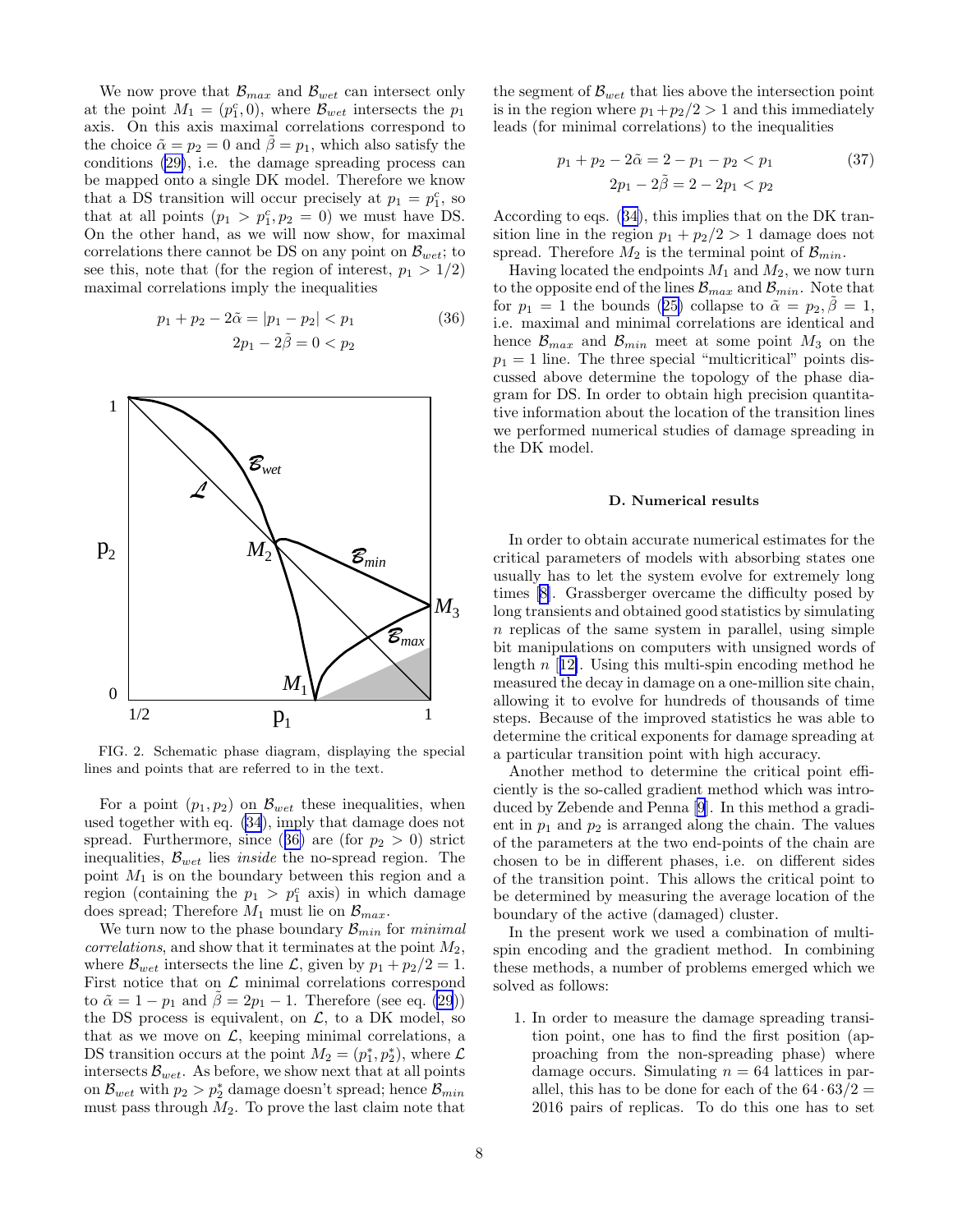<span id="page-7-0"></span>We now prove that  $\mathcal{B}_{max}$  and  $\mathcal{B}_{wet}$  can intersect only at the point  $M_1 = (p_1^c, 0)$ , where  $\mathcal{B}_{wet}$  intersects the  $p_1$ axis. On this axis maximal correlations correspond to the choice  $\tilde{\alpha} = p_2 = 0$  and  $\tilde{\beta} = p_1$ , which also satisfy the conditions [\(29\)](#page-5-0), i.e. the damage spreading process can be mapped onto a single DK model. Therefore we know that a DS transition will occur precisely at  $p_1 = p_1^c$ , so that at all points  $(p_1 > p_1^c, p_2 = 0)$  we must have DS. On the other hand, as we will now show, for maximal correlations there cannot be DS on any point on  $\mathcal{B}_{wet}$ ; to see this, note that (for the region of interest,  $p_1 > 1/2$ ) maximal correlations imply the inequalities

$$
p_1 + p_2 - 2\tilde{\alpha} = |p_1 - p_2| < p_1 \tag{36}
$$
\n
$$
2p_1 - 2\tilde{\beta} = 0 < p_2
$$



FIG. 2. Schematic phase diagram, displaying the special lines and points that are referred to in the text.

For a point  $(p_1, p_2)$  on  $\mathcal{B}_{wet}$  these inequalities, when used together with eq. [\(34](#page-6-0)), imply that damage does not spread. Furthermore, since (36) are (for  $p_2 > 0$ ) strict inequalities,  $\mathcal{B}_{wet}$  lies *inside* the no-spread region. The point  $M_1$  is on the boundary between this region and a region (containing the  $p_1 > p_1^c$  axis) in which damage does spread; Therefore  $M_1$  must lie on  $\mathcal{B}_{max}$ .

We turn now to the phase boundary  $\mathcal{B}_{min}$  for *minimal correlations*, and show that it terminates at the point  $M_2$ , where  $\mathcal{B}_{wet}$  intersects the line  $\mathcal{L}$ , given by  $p_1 + p_2/2 = 1$ . First notice that on  $\mathcal L$  minimal correlations correspond to  $\tilde{\alpha} = 1 - p_1$  and  $\beta = 2p_1 - 1$ . Therefore (see eq. [\(29](#page-5-0))) the DS process is equivalent, on  $\mathcal{L}$ , to a DK model, so that as we move on  $\mathcal{L}$ , keeping minimal correlations, a DS transition occurs at the point  $M_2 = (p_1^*, p_2^*)$ , where  $\mathcal{L}$ intersects  $\mathcal{B}_{wet}$ . As before, we show next that at all points on  $\mathcal{B}_{wet}$  with  $p_2 > p_2^*$  damage doesn't spread; hence  $\mathcal{B}_{min}$ must pass through  $M_2$ . To prove the last claim note that

the segment of  $\mathcal{B}_{wet}$  that lies above the intersection point is in the region where  $p_1+p_2/2 > 1$  and this immediately leads (for minimal correlations) to the inequalities

$$
p_1 + p_2 - 2\tilde{\alpha} = 2 - p_1 - p_2 < p_1 \tag{37}
$$
\n
$$
2p_1 - 2\tilde{\beta} = 2 - 2p_1 < p_2
$$

According to eqs.([34\)](#page-6-0), this implies that on the DK transition line in the region  $p_1 + p_2/2 > 1$  damage does not spread. Therefore  $M_2$  is the terminal point of  $\mathcal{B}_{min}$ .

Having located the endpoints  $M_1$  and  $M_2$ , we now turn to the opposite end of the lines  $B_{max}$  and  $B_{min}$ . Note that for $p_1 = 1$  the bounds ([25\)](#page-5-0) collapse to  $\tilde{\alpha} = p_2, \tilde{\beta} = 1$ , i.e. maximal and minimal correlations are identical and hence  $\mathcal{B}_{max}$  and  $\mathcal{B}_{min}$  meet at some point  $M_3$  on the  $p_1 = 1$  line. The three special "multicritical" points discussed above determine the topology of the phase diagram for DS. In order to obtain high precision quantitative information about the location of the transition lines we performed numerical studies of damage spreading in the DK model.

#### D. Numerical results

In order to obtain accurate numerical estimates for the critical parameters of models with absorbing states one usually has to let the system evolve for extremely long times[[8\]](#page-10-0). Grassberger overcame the difficulty posed by long transients and obtained good statistics by simulating n replicas of the same system in parallel, using simple bit manipulations on computers with unsigned words of length  $n$  [[12\]](#page-10-0). Using this multi-spin encoding method he measured the decay in damage on a one-million site chain, allowing it to evolve for hundreds of thousands of time steps. Because of the improved statistics he was able to determine the critical exponents for damage spreading at a particular transition point with high accuracy.

Another method to determine the critical point efficiently is the so-called gradient method which was introduced by Zebende and Penna [\[9](#page-10-0)]. In this method a gradient in  $p_1$  and  $p_2$  is arranged along the chain. The values of the parameters at the two end-points of the chain are chosen to be in different phases, i.e. on different sides of the transition point. This allows the critical point to be determined by measuring the average location of the boundary of the active (damaged) cluster.

In the present work we used a combination of multispin encoding and the gradient method. In combining these methods, a number of problems emerged which we solved as follows:

1. In order to measure the damage spreading transition point, one has to find the first position (approaching from the non-spreading phase) where damage occurs. Simulating  $n = 64$  lattices in parallel, this has to be done for each of the  $64 \cdot 63/2 =$ 2016 pairs of replicas. To do this one has to set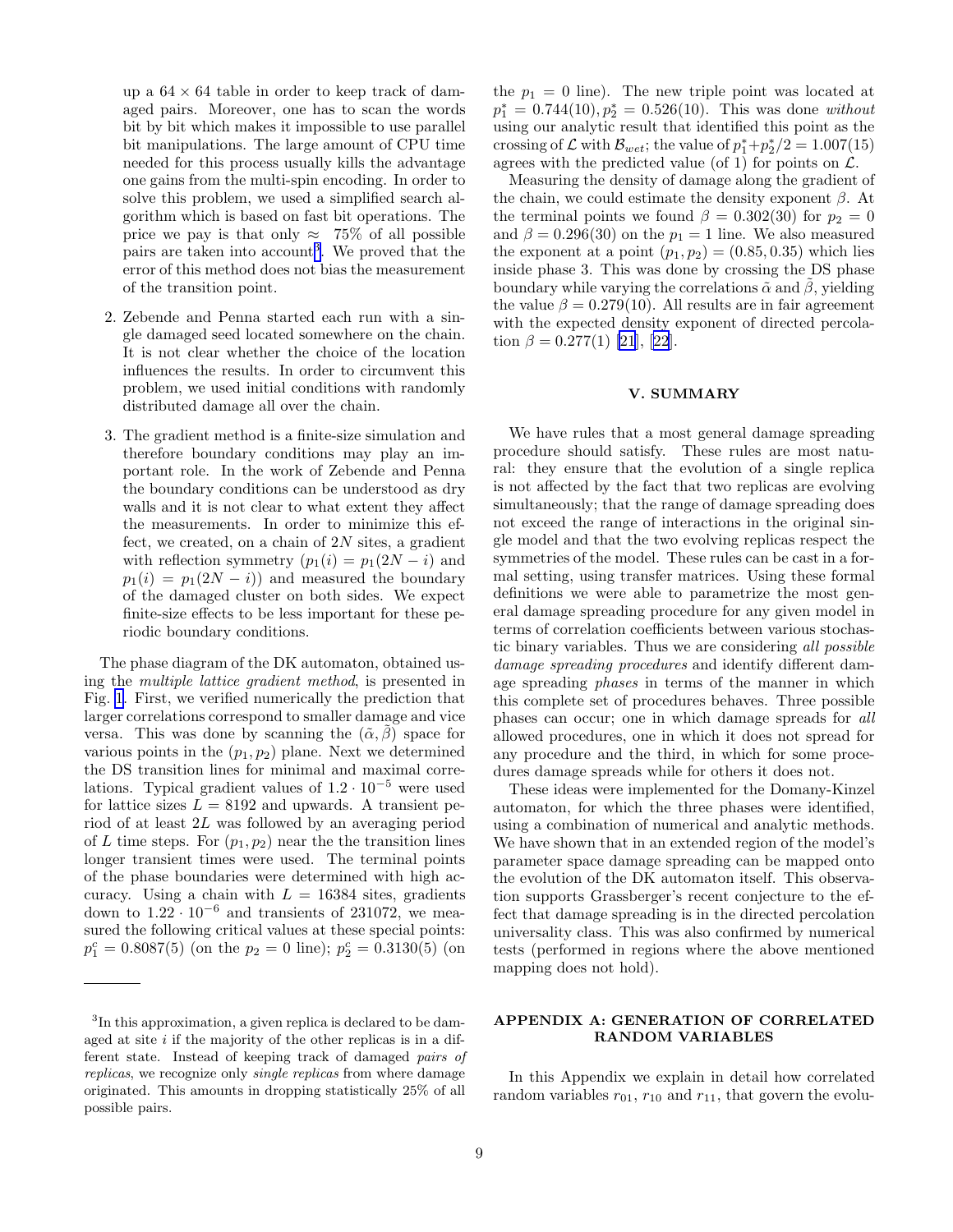<span id="page-8-0"></span>up a  $64 \times 64$  table in order to keep track of damaged pairs. Moreover, one has to scan the words bit by bit which makes it impossible to use parallel bit manipulations. The large amount of CPU time needed for this process usually kills the advantage one gains from the multi-spin encoding. In order to solve this problem, we used a simplified search algorithm which is based on fast bit operations. The price we pay is that only  $\approx 75\%$  of all possible pairs are taken into account<sup>3</sup>. We proved that the error of this method does not bias the measurement of the transition point.

- 2. Zebende and Penna started each run with a single damaged seed located somewhere on the chain. It is not clear whether the choice of the location influences the results. In order to circumvent this problem, we used initial conditions with randomly distributed damage all over the chain.
- 3. The gradient method is a finite-size simulation and therefore boundary conditions may play an important role. In the work of Zebende and Penna the boundary conditions can be understood as dry walls and it is not clear to what extent they affect the measurements. In order to minimize this effect, we created, on a chain of  $2N$  sites, a gradient with reflection symmetry  $(p_1(i) = p_1(2N - i)$  and  $p_1(i) = p_1(2N - i)$  and measured the boundary of the damaged cluster on both sides. We expect finite-size effects to be less important for these periodic boundary conditions.

The phase diagram of the DK automaton, obtained using the multiple lattice gradient method, is presented in Fig. [1](#page-0-0). First, we verified numerically the prediction that larger correlations correspond to smaller damage and vice versa. This was done by scanning the  $(\tilde{\alpha}, \beta)$  space for various points in the  $(p_1, p_2)$  plane. Next we determined the DS transition lines for minimal and maximal correlations. Typical gradient values of  $1.2 \cdot 10^{-5}$  were used for lattice sizes  $L = 8192$  and upwards. A transient period of at least 2L was followed by an averaging period of L time steps. For  $(p_1, p_2)$  near the the transition lines longer transient times were used. The terminal points of the phase boundaries were determined with high accuracy. Using a chain with  $L = 16384$  sites, gradients down to  $1.22 \cdot 10^{-6}$  and transients of 231072, we measured the following critical values at these special points:  $p_1^c = 0.8087(5)$  (on the  $p_2 = 0$  line);  $p_2^c = 0.3130(5)$  (on

<sup>3</sup>In this approximation, a given replica is declared to be damaged at site  $i$  if the majority of the other replicas is in a different state. Instead of keeping track of damaged pairs of replicas, we recognize only single replicas from where damage originated. This amounts in dropping statistically 25% of all possible pairs.

the  $p_1 = 0$  line). The new triple point was located at  $p_1^* = 0.744(10), p_2^* = 0.526(10).$  This was done without using our analytic result that identified this point as the crossing of  $\mathcal{L}$  with  $\mathcal{B}_{wet}$ ; the value of  $p_1^* + p_2^* / 2 = 1.007(15)$ agrees with the predicted value (of 1) for points on  $\mathcal{L}$ .

Measuring the density of damage along the gradient of the chain, we could estimate the density exponent  $\beta$ . At the terminal points we found  $\beta = 0.302(30)$  for  $p_2 = 0$ and  $\beta = 0.296(30)$  on the  $p_1 = 1$  line. We also measured the exponent at a point  $(p_1, p_2) = (0.85, 0.35)$  which lies inside phase 3. This was done by crossing the DS phase boundary while varying the correlations  $\tilde{\alpha}$  and  $\beta$ , yielding the value  $\beta = 0.279(10)$ . All results are in fair agreement with the expected density exponent of directed percola-tion $\beta = 0.277(1)$  [\[21](#page-10-0)], [[22](#page-10-0)].

### V. SUMMARY

We have rules that a most general damage spreading procedure should satisfy. These rules are most natural: they ensure that the evolution of a single replica is not affected by the fact that two replicas are evolving simultaneously; that the range of damage spreading does not exceed the range of interactions in the original single model and that the two evolving replicas respect the symmetries of the model. These rules can be cast in a formal setting, using transfer matrices. Using these formal definitions we were able to parametrize the most general damage spreading procedure for any given model in terms of correlation coefficients between various stochastic binary variables. Thus we are considering all possible damage spreading procedures and identify different damage spreading phases in terms of the manner in which this complete set of procedures behaves. Three possible phases can occur; one in which damage spreads for all allowed procedures, one in which it does not spread for any procedure and the third, in which for some procedures damage spreads while for others it does not.

These ideas were implemented for the Domany-Kinzel automaton, for which the three phases were identified, using a combination of numerical and analytic methods. We have shown that in an extended region of the model's parameter space damage spreading can be mapped onto the evolution of the DK automaton itself. This observation supports Grassberger's recent conjecture to the effect that damage spreading is in the directed percolation universality class. This was also confirmed by numerical tests (performed in regions where the above mentioned mapping does not hold).

# APPENDIX A: GENERATION OF CORRELATED RANDOM VARIABLES

In this Appendix we explain in detail how correlated random variables  $r_{01}$ ,  $r_{10}$  and  $r_{11}$ , that govern the evolu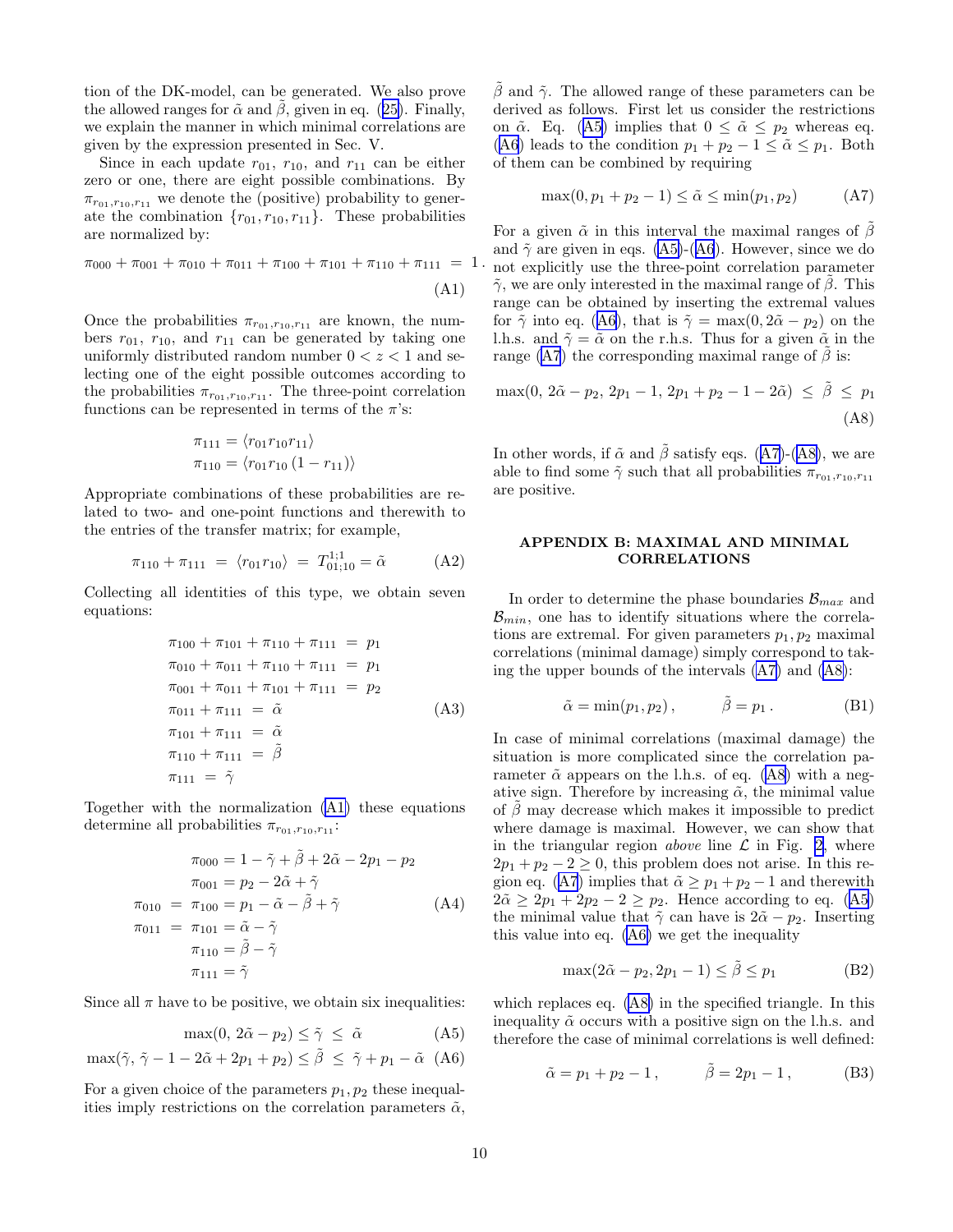<span id="page-9-0"></span>tion of the DK-model, can be generated. We also prove theallowed ranges for  $\tilde{\alpha}$  and  $\beta$ , given in eq. ([25\)](#page-5-0). Finally, we explain the manner in which minimal correlations are given by the expression presented in Sec. V.

Since in each update  $r_{01}$ ,  $r_{10}$ , and  $r_{11}$  can be either zero or one, there are eight possible combinations. By  $\pi_{r_{01},r_{10},r_{11}}$  we denote the (positive) probability to generate the combination  $\{r_{01}, r_{10}, r_{11}\}$ . These probabilities are normalized by:

$$
\pi_{000} + \pi_{001} + \pi_{010} + \pi_{011} + \pi_{100} + \pi_{101} + \pi_{110} + \pi_{111} = 1.
$$
\n(A1)

Once the probabilities  $\pi_{r_{01},r_{10},r_{11}}$  are known, the numbers  $r_{01}$ ,  $r_{10}$ , and  $r_{11}$  can be generated by taking one uniformly distributed random number  $0 < z < 1$  and selecting one of the eight possible outcomes according to the probabilities  $\pi_{r_{01},r_{10},r_{11}}$ . The three-point correlation functions can be represented in terms of the  $\pi$ 's:

$$
\pi_{111} = \langle r_{01} r_{10} r_{11} \rangle
$$
  
\n
$$
\pi_{110} = \langle r_{01} r_{10} (1 - r_{11}) \rangle
$$

Appropriate combinations of these probabilities are related to two- and one-point functions and therewith to the entries of the transfer matrix; for example,

$$
\pi_{110} + \pi_{111} = \langle r_{01} r_{10} \rangle = T_{01;10}^{1;1} = \tilde{\alpha}
$$
 (A2)

Collecting all identities of this type, we obtain seven equations:

$$
\pi_{100} + \pi_{101} + \pi_{110} + \pi_{111} = p_1
$$
\n
$$
\pi_{010} + \pi_{011} + \pi_{110} + \pi_{111} = p_1
$$
\n
$$
\pi_{001} + \pi_{011} + \pi_{101} + \pi_{111} = p_2
$$
\n
$$
\pi_{011} + \pi_{111} = \tilde{\alpha}
$$
\n
$$
\pi_{101} + \pi_{111} = \tilde{\alpha}
$$
\n
$$
\pi_{110} + \pi_{111} = \tilde{\beta}
$$
\n
$$
\pi_{111} = \tilde{\gamma}
$$

Together with the normalization (A1) these equations determine all probabilities  $\pi_{r_{01},r_{10},r_{11}}$ :

$$
\pi_{000} = 1 - \tilde{\gamma} + \tilde{\beta} + 2\tilde{\alpha} - 2p_1 - p_2
$$
  
\n
$$
\pi_{001} = p_2 - 2\tilde{\alpha} + \tilde{\gamma}
$$
  
\n
$$
\pi_{010} = \pi_{100} = p_1 - \tilde{\alpha} - \tilde{\beta} + \tilde{\gamma}
$$
  
\n
$$
\pi_{011} = \pi_{101} = \tilde{\alpha} - \tilde{\gamma}
$$
  
\n
$$
\pi_{110} = \tilde{\beta} - \tilde{\gamma}
$$
  
\n
$$
\pi_{111} = \tilde{\gamma}
$$
\n(A4)

Since all  $\pi$  have to be positive, we obtain six inequalities:

$$
\max(0, 2\tilde{\alpha} - p_2) \le \tilde{\gamma} \le \tilde{\alpha} \tag{A5}
$$

 $\max(\tilde{\gamma}, \tilde{\gamma} - 1 - 2\tilde{\alpha} + 2p_1 + p_2) \leq \tilde{\beta} \leq \tilde{\gamma} + p_1 - \tilde{\alpha}$  (A6)

For a given choice of the parameters  $p_1, p_2$  these inequalities imply restrictions on the correlation parameters  $\tilde{\alpha}$ ,

 $\beta$  and  $\tilde{\gamma}$ . The allowed range of these parameters can be derived as follows. First let us consider the restrictions on  $\tilde{\alpha}$ . Eq. (A5) implies that  $0 \leq \tilde{\alpha} \leq p_2$  whereas eq. (A6) leads to the condition  $p_1 + p_2 - 1 \leq \tilde{\alpha} \leq p_1$ . Both of them can be combined by requiring

$$
\max(0, p_1 + p_2 - 1) \le \tilde{\alpha} \le \min(p_1, p_2) \tag{A7}
$$

For a given  $\tilde{\alpha}$  in this interval the maximal ranges of  $\tilde{\beta}$ and  $\tilde{\gamma}$  are given in eqs. (A5)-(A6). However, since we do not explicitly use the three-point correlation parameter  $\tilde{\gamma}$ , we are only interested in the maximal range of  $\tilde{\beta}$ . This range can be obtained by inserting the extremal values for  $\tilde{\gamma}$  into eq. (A6), that is  $\tilde{\gamma} = \max(0, 2\tilde{\alpha} - p_2)$  on the l.h.s. and  $\tilde{\gamma} = \tilde{\alpha}$  on the r.h.s. Thus for a given  $\tilde{\alpha}$  in the range (A7) the corresponding maximal range of  $\beta$  is:

$$
\max(0, 2\tilde{\alpha} - p_2, 2p_1 - 1, 2p_1 + p_2 - 1 - 2\tilde{\alpha}) \le \tilde{\beta} \le p_1
$$
\n(A8)

In other words, if  $\tilde{\alpha}$  and  $\tilde{\beta}$  satisfy eqs. (A7)-(A8), we are able to find some  $\tilde{\gamma}$  such that all probabilities  $\pi_{r_{01},r_{10},r_{11}}$ are positive.

# APPENDIX B: MAXIMAL AND MINIMAL CORRELATIONS

In order to determine the phase boundaries  $B_{max}$  and  $\mathcal{B}_{min}$ , one has to identify situations where the correlations are extremal. For given parameters  $p_1, p_2$  maximal correlations (minimal damage) simply correspond to taking the upper bounds of the intervals (A7) and (A8):

$$
\tilde{\alpha} = \min(p_1, p_2), \qquad \tilde{\beta} = p_1. \tag{B1}
$$

In case of minimal correlations (maximal damage) the situation is more complicated since the correlation parameter  $\tilde{\alpha}$  appears on the l.h.s. of eq. (A8) with a negative sign. Therefore by increasing  $\tilde{\alpha}$ , the minimal value of  $\beta$  may decrease which makes it impossible to predict where damage is maximal. However, we can show that in the triangular region *above* line  $\mathcal L$  in Fig. [2](#page-7-0), where  $2p_1 + p_2 - 2 \geq 0$ , this problem does not arise. In this region eq. (A7) implies that  $\tilde{\alpha} \geq p_1 + p_2 - 1$  and therewith  $2\tilde{\alpha} \geq 2p_1 + 2p_2 - 2 \geq p_2$ . Hence according to eq. (A5) the minimal value that  $\tilde{\gamma}$  can have is  $2\tilde{\alpha} - p_2$ . Inserting this value into eq. (A6) we get the inequality

$$
\max(2\tilde{\alpha} - p_2, 2p_1 - 1) \le \tilde{\beta} \le p_1
$$
 (B2)

which replaces eq. (A8) in the specified triangle. In this inequality  $\tilde{\alpha}$  occurs with a positive sign on the l.h.s. and therefore the case of minimal correlations is well defined:

$$
\tilde{\alpha} = p_1 + p_2 - 1, \qquad \tilde{\beta} = 2p_1 - 1,
$$
 (B3)